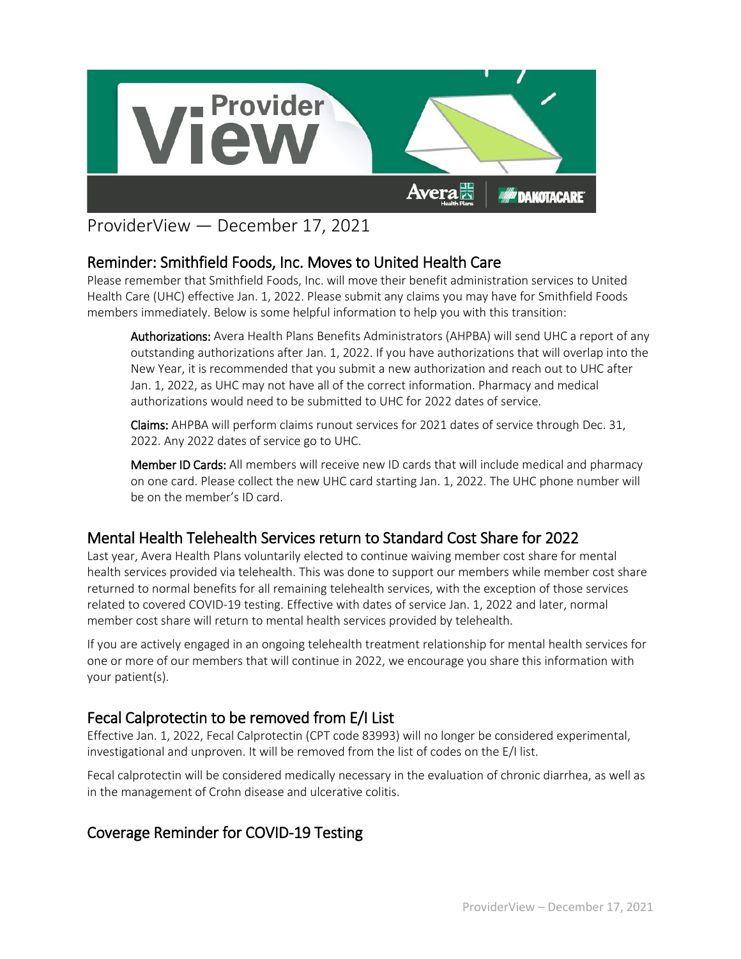

# ProviderView — December 17, 2021

# Reminder: Smithfield Foods, Inc. Moves to United Health Care

Please remember that Smithfield Foods, Inc. will move their benefit administration services to United Health Care (UHC) effective Jan. 1, 2022. Please submit any claims you may have for Smithfield Foods members immediately. Below is some helpful information to help you with this transition:

Authorizations: Avera Health Plans Benefits Administrators (AHPBA) will send UHC a report of any outstanding authorizations after Jan. 1, 2022. If you have authorizations that will overlap into the New Year, it is recommended that you submit a new authorization and reach out to UHC after Jan. 1, 2022, as UHC may not have all of the correct information. Pharmacy and medical authorizations would need to be submitted to UHC for 2022 dates of service.

Claims: AHPBA will perform claims runout services for 2021 dates of service through Dec. 31, 2022. Any 2022 dates of service go to UHC.

Member ID Cards: All members will receive new ID cards that will include medical and pharmacy on one card. Please collect the new UHC card starting Jan. 1, 2022. The UHC phone number will be on the member's ID card.

#### Mental Health Telehealth Services return to Standard Cost Share for 2022

Last year, Avera Health Plans voluntarily elected to continue waiving member cost share for mental health services provided via telehealth. This was done to support our members while member cost share returned to normal benefits for all remaining telehealth services, with the exception of those services related to covered COVID-19 testing. Effective with dates of service Jan. 1, 2022 and later, normal member cost share will return to mental health services provided by telehealth.

If you are actively engaged in an ongoing telehealth treatment relationship for mental health services for one or more of our members that will continue in 2022, we encourage you share this information with your patient(s).

# Fecal Calprotectin to be removed from E/I List

Effective Jan. 1, 2022, Fecal Calprotectin (CPT code 83993) will no longer be considered experimental, investigational and unproven. It will be removed from the list of codes on the E/I list.

Fecal calprotectin will be considered medically necessary in the evaluation of chronic diarrhea, as well as in the management of Crohn disease and ulcerative colitis.

# Coverage Reminder for COVID-19 Testing